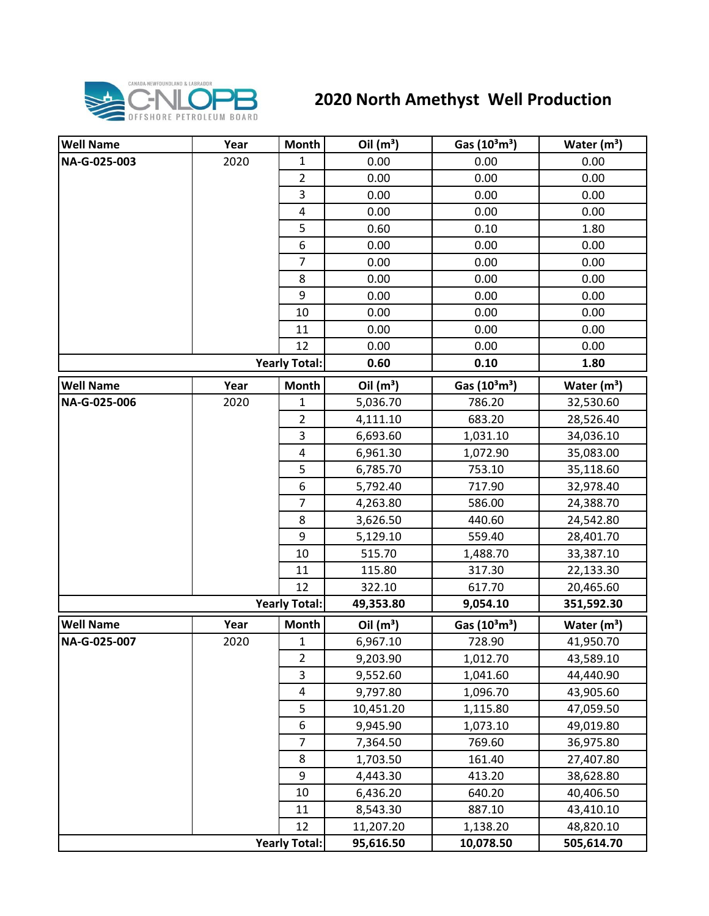

## **2020 North Amethyst Well Production**

| <b>Well Name</b>     | Year | Month                   | Oil $(m^3)$ | Gas $(10^3 \text{m}^3)$               | Water $(m3)$  |
|----------------------|------|-------------------------|-------------|---------------------------------------|---------------|
| NA-G-025-003         | 2020 | 1                       | 0.00        | 0.00                                  | 0.00          |
|                      |      | $\overline{2}$          | 0.00        | 0.00                                  | 0.00          |
|                      |      | 3                       | 0.00        | 0.00                                  | 0.00          |
|                      |      | $\pmb{4}$               | 0.00        | 0.00                                  | 0.00          |
|                      |      | 5                       | 0.60        | 0.10                                  | 1.80          |
|                      |      | 6                       | 0.00        | 0.00                                  | 0.00          |
|                      |      | $\overline{7}$          | 0.00        | 0.00                                  | 0.00          |
|                      |      | 8                       | 0.00        | 0.00                                  | 0.00          |
|                      |      | 9                       | 0.00        | 0.00                                  | 0.00          |
|                      |      | 10                      | 0.00        | 0.00                                  | 0.00          |
|                      |      | 11                      | 0.00        | 0.00                                  | 0.00          |
|                      |      | 12                      | 0.00        | 0.00                                  | 0.00          |
|                      |      | <b>Yearly Total:</b>    | 0.60        | 0.10                                  | 1.80          |
| <b>Well Name</b>     | Year | <b>Month</b>            | Oil $(m^3)$ | Gas (10 <sup>3</sup> m <sup>3</sup> ) | Water $(m^3)$ |
| NA-G-025-006         | 2020 | 1                       | 5,036.70    | 786.20                                | 32,530.60     |
|                      |      | $\overline{2}$          | 4,111.10    | 683.20                                | 28,526.40     |
|                      |      | $\overline{\mathbf{3}}$ | 6,693.60    | 1,031.10                              | 34,036.10     |
|                      |      | 4                       | 6,961.30    | 1,072.90                              | 35,083.00     |
|                      |      | 5                       | 6,785.70    | 753.10                                | 35,118.60     |
|                      |      | 6                       | 5,792.40    | 717.90                                | 32,978.40     |
|                      |      | $\overline{7}$          | 4,263.80    | 586.00                                | 24,388.70     |
|                      |      | 8                       | 3,626.50    | 440.60                                | 24,542.80     |
|                      |      | 9                       | 5,129.10    | 559.40                                | 28,401.70     |
|                      |      | 10                      | 515.70      | 1,488.70                              | 33,387.10     |
|                      |      | 11                      | 115.80      | 317.30                                | 22,133.30     |
|                      |      | 12                      | 322.10      | 617.70                                | 20,465.60     |
| <b>Yearly Total:</b> |      |                         | 49,353.80   | 9,054.10                              | 351,592.30    |
| <b>Well Name</b>     | Year | <b>Month</b>            | Oil $(m^3)$ | Gas $(10^3 \text{m}^3)$               | Water $(m3)$  |
| NA-G-025-007         | 2020 | $\mathbf{1}$            | 6,967.10    | 728.90                                | 41,950.70     |
|                      |      | 2                       | 9,203.90    | 1,012.70                              | 43,589.10     |
|                      |      | $\overline{3}$          | 9,552.60    | 1,041.60                              | 44,440.90     |
|                      |      | 4                       | 9,797.80    | 1,096.70                              | 43,905.60     |
|                      |      | 5                       | 10,451.20   | 1,115.80                              | 47,059.50     |
|                      |      | $\boldsymbol{6}$        | 9,945.90    | 1,073.10                              | 49,019.80     |
|                      |      | $\overline{7}$          | 7,364.50    | 769.60                                | 36,975.80     |
|                      |      | 8                       | 1,703.50    | 161.40                                | 27,407.80     |
|                      |      | 9                       | 4,443.30    | 413.20                                | 38,628.80     |
|                      |      | 10                      | 6,436.20    | 640.20                                | 40,406.50     |
|                      |      | 11                      | 8,543.30    | 887.10                                | 43,410.10     |
|                      |      | 12                      | 11,207.20   | 1,138.20                              | 48,820.10     |
|                      |      | <b>Yearly Total:</b>    | 95,616.50   | 10,078.50                             | 505,614.70    |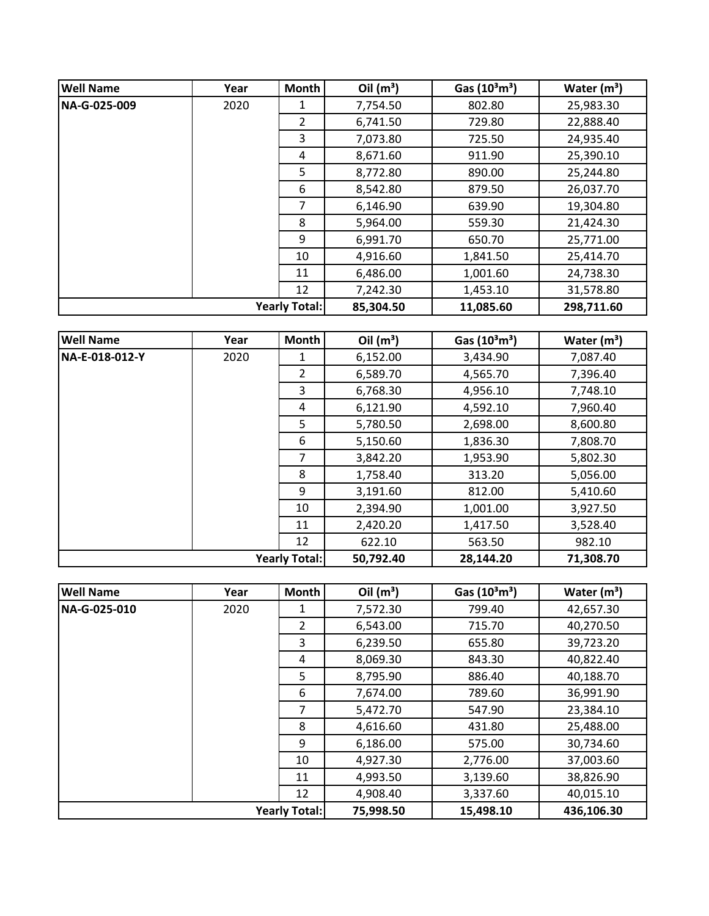| <b>Well Name</b>     | Year | <b>Month</b> | Oil $(m^3)$ | Gas $(10^3 \text{m}^3)$ | Water $(m^3)$ |
|----------------------|------|--------------|-------------|-------------------------|---------------|
| NA-G-025-009         | 2020 | 1            | 7,754.50    | 802.80                  | 25,983.30     |
|                      |      | 2            | 6,741.50    | 729.80                  | 22,888.40     |
|                      |      | 3            | 7,073.80    | 725.50                  | 24,935.40     |
|                      |      | 4            | 8,671.60    | 911.90                  | 25,390.10     |
|                      |      | 5            | 8,772.80    | 890.00                  | 25,244.80     |
|                      |      | 6            | 8,542.80    | 879.50                  | 26,037.70     |
|                      |      | 7            | 6,146.90    | 639.90                  | 19,304.80     |
|                      |      | 8            | 5,964.00    | 559.30                  | 21,424.30     |
|                      |      | 9            | 6,991.70    | 650.70                  | 25,771.00     |
|                      |      | 10           | 4,916.60    | 1,841.50                | 25,414.70     |
|                      |      | 11           | 6,486.00    | 1,001.60                | 24,738.30     |
|                      |      | 12           | 7,242.30    | 1,453.10                | 31,578.80     |
| <b>Yearly Total:</b> |      | 85,304.50    | 11,085.60   | 298,711.60              |               |

| <b>Well Name</b>     | Year | <b>Month</b>   | Oil $(m^3)$ | Gas $(10^3 \text{m}^3)$ | Water $(m^3)$ |
|----------------------|------|----------------|-------------|-------------------------|---------------|
| NA-E-018-012-Y       | 2020 | 1              | 6,152.00    | 3,434.90                | 7,087.40      |
|                      |      | $\overline{2}$ | 6,589.70    | 4,565.70                | 7,396.40      |
|                      |      | 3              | 6,768.30    | 4,956.10                | 7,748.10      |
|                      |      | 4              | 6,121.90    | 4,592.10                | 7,960.40      |
|                      |      | 5              | 5,780.50    | 2,698.00                | 8,600.80      |
|                      |      | 6              | 5,150.60    | 1,836.30                | 7,808.70      |
|                      |      | 7              | 3,842.20    | 1,953.90                | 5,802.30      |
|                      |      | 8              | 1,758.40    | 313.20                  | 5,056.00      |
|                      |      | 9              | 3,191.60    | 812.00                  | 5,410.60      |
|                      |      | 10             | 2,394.90    | 1,001.00                | 3,927.50      |
|                      |      | 11             | 2,420.20    | 1,417.50                | 3,528.40      |
|                      |      | 12             | 622.10      | 563.50                  | 982.10        |
| <b>Yearly Total:</b> |      | 50,792.40      | 28,144.20   | 71,308.70               |               |

| <b>Well Name</b>     | Year | <b>Month</b>   | Oil $(m^3)$ | Gas $(10^3 \text{m}^3)$ | Water $(m^3)$ |
|----------------------|------|----------------|-------------|-------------------------|---------------|
| NA-G-025-010         | 2020 |                | 7,572.30    | 799.40                  | 42,657.30     |
|                      |      | $\overline{2}$ | 6,543.00    | 715.70                  | 40,270.50     |
|                      |      | 3              | 6,239.50    | 655.80                  | 39,723.20     |
|                      |      | 4              | 8,069.30    | 843.30                  | 40,822.40     |
|                      |      | 5              | 8,795.90    | 886.40                  | 40,188.70     |
|                      |      | 6              | 7,674.00    | 789.60                  | 36,991.90     |
|                      |      | 7              | 5,472.70    | 547.90                  | 23,384.10     |
|                      |      | 8              | 4,616.60    | 431.80                  | 25,488.00     |
|                      |      | 9              | 6,186.00    | 575.00                  | 30,734.60     |
|                      |      | 10             | 4,927.30    | 2,776.00                | 37,003.60     |
|                      |      | 11             | 4,993.50    | 3,139.60                | 38,826.90     |
|                      |      | 12             | 4,908.40    | 3,337.60                | 40,015.10     |
| <b>Yearly Total:</b> |      |                | 75,998.50   | 15,498.10               | 436,106.30    |